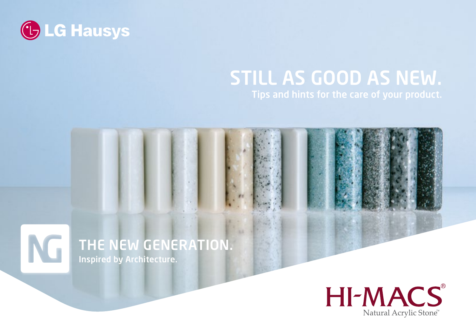

# STILL AS GOOD AS NEW.

#### THE NEW GENERATION. NG Inspired by Architecture.

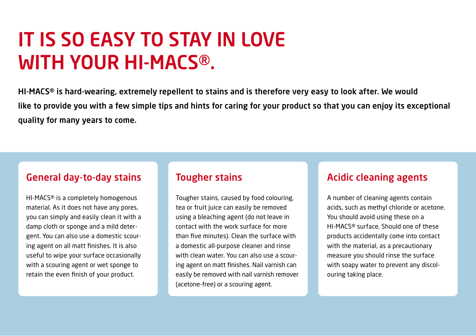## It is so easy to stay in love with your HI-MACS®.

HI-MACS® is hard-wearing, extremely repellent to stains and is therefore very easy to look after. We would like to provide you with a few simple tips and hints for caring for your product so that you can enjoy its exceptional quality for many years to come.

#### General day-to-day stains

HI-MACS® is a completely homogenous material. As it does not have any pores, you can simply and easily clean it with a damp cloth or sponge and a mild detergent. You can also use a domestic scouring agent on all matt finishes. It is also useful to wipe your surface occasionally with a scouring agent or wet sponge to retain the even finish of your product.

#### Tougher stains

Tougher stains, caused by food colouring, tea or fruit juice can easily be removed using a bleaching agent (do not leave in contact with the work surface for more than five minutes). Clean the surface with a domestic all-purpose cleaner and rinse with clean water. You can also use a scouring agent on matt finishes. Nail varnish can easily be removed with nail varnish remover (acetone-free) or a scouring agent.

#### Acidic cleaning agents

A number of cleaning agents contain acids, such as methyl chloride or acetone. You should avoid using these on a HI-MACS® surface. Should one of these products accidentally come into contact with the material, as a precautionary measure you should rinse the surface with soapy water to prevent any discolouring taking place.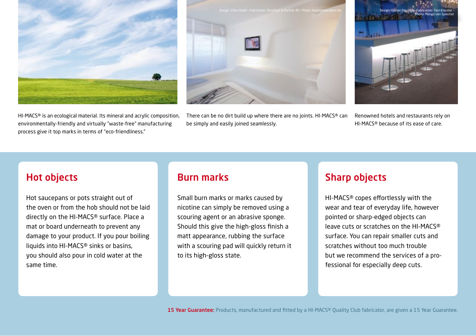

HI-MACS® is an ecological material. Its mineral and acrylic composition, environmentally-friendly and virtually "waste-free" manufacturing process give it top marks in terms of "eco-friendliness."



There can be no dirt build up where there are no joints. HI-MACS® can be simply and easily joined seamlessly.



Renowned hotels and restaurants rely on HI-MACS® because of its ease of care.

#### Hot objects

Hot saucepans or pots straight out of the oven or from the hob should not be laid directly on the HI-MACS® surface. Place a mat or board underneath to prevent any damage to your product. If you pour boiling liquids into HI-MACS® sinks or basins, you should also pour in cold water at the same time.

#### Burn marks

Small burn marks or marks caused by nicotine can simply be removed using a scouring agent or an abrasive sponge. Should this give the high-gloss finish a matt appearance, rubbing the surface with a scouring pad will quickly return it to its high-gloss state.

#### Sharp objects

HI-MACS® copes effortlessly with the wear and tear of everyday life, however pointed or sharp-edged objects can leave cuts or scratches on the HI-MACS® surface. You can repair smaller cuts and scratches without too much trouble but we recommend the services of a professional for especially deep cuts.